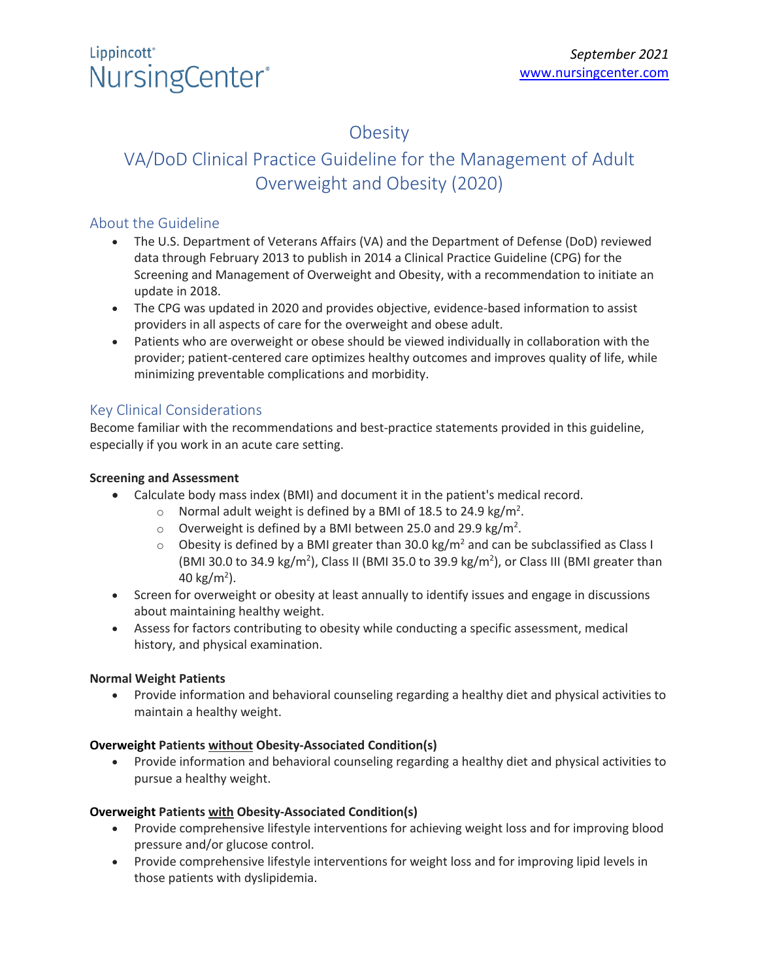## **Obesity**

## VA/DoD Clinical Practice Guideline for the Management of Adult Overweight and Obesity (2020)

### About the Guideline

- The U.S. Department of Veterans Affairs (VA) and the Department of Defense (DoD) reviewed data through February 2013 to publish in 2014 a Clinical Practice Guideline (CPG) for the Screening and Management of Overweight and Obesity, with a recommendation to initiate an update in 2018.
- The CPG was updated in 2020 and provides objective, evidence-based information to assist providers in all aspects of care for the overweight and obese adult.
- Patients who are overweight or obese should be viewed individually in collaboration with the provider; patient-centered care optimizes healthy outcomes and improves quality of life, while minimizing preventable complications and morbidity.

### Key Clinical Considerations

Become familiar with the recommendations and best-practice statements provided in this guideline, especially if you work in an acute care setting.

#### **Screening and Assessment**

- Calculate body mass index (BMI) and document it in the patient's medical record.
	- $\circ$  Normal adult weight is defined by a BMI of 18.5 to 24.9 kg/m<sup>2</sup>.
	- $\circ$  Overweight is defined by a BMI between 25.0 and 29.9 kg/m<sup>2</sup>.
	- $\circ$  Obesity is defined by a BMI greater than 30.0 kg/m<sup>2</sup> and can be subclassified as Class I (BMI 30.0 to 34.9 kg/m<sup>2</sup>), Class II (BMI 35.0 to 39.9 kg/m<sup>2</sup>), or Class III (BMI greater than 40 kg/m<sup>2</sup>).
- Screen for overweight or obesity at least annually to identify issues and engage in discussions about maintaining healthy weight.
- Assess for factors contributing to obesity while conducting a specific assessment, medical history, and physical examination.

#### **Normal Weight Patients**

• Provide information and behavioral counseling regarding a healthy diet and physical activities to maintain a healthy weight.

#### **Overweight Patients without Obesity-Associated Condition(s)**

• Provide information and behavioral counseling regarding a healthy diet and physical activities to pursue a healthy weight.

#### **Overweight Patients with Obesity-Associated Condition(s)**

- Provide comprehensive lifestyle interventions for achieving weight loss and for improving blood pressure and/or glucose control.
- Provide comprehensive lifestyle interventions for weight loss and for improving lipid levels in those patients with dyslipidemia.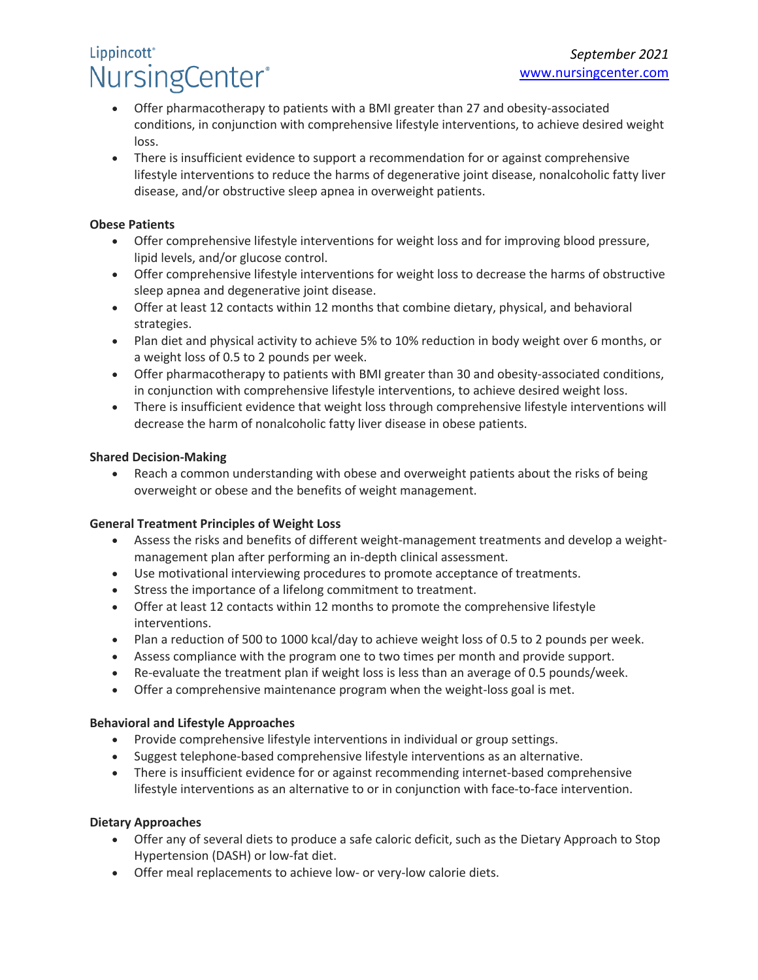# Lippincott<sup>®</sup> NursingCenter®

- Offer pharmacotherapy to patients with a BMI greater than 27 and obesity-associated conditions, in conjunction with comprehensive lifestyle interventions, to achieve desired weight loss.
- There is insufficient evidence to support a recommendation for or against comprehensive lifestyle interventions to reduce the harms of degenerative joint disease, nonalcoholic fatty liver disease, and/or obstructive sleep apnea in overweight patients.

#### **Obese Patients**

- Offer comprehensive lifestyle interventions for weight loss and for improving blood pressure, lipid levels, and/or glucose control.
- Offer comprehensive lifestyle interventions for weight loss to decrease the harms of obstructive sleep apnea and degenerative joint disease.
- Offer at least 12 contacts within 12 months that combine dietary, physical, and behavioral strategies.
- Plan diet and physical activity to achieve 5% to 10% reduction in body weight over 6 months, or a weight loss of 0.5 to 2 pounds per week.
- Offer pharmacotherapy to patients with BMI greater than 30 and obesity-associated conditions, in conjunction with comprehensive lifestyle interventions, to achieve desired weight loss.
- There is insufficient evidence that weight loss through comprehensive lifestyle interventions will decrease the harm of nonalcoholic fatty liver disease in obese patients.

#### **Shared Decision-Making**

• Reach a common understanding with obese and overweight patients about the risks of being overweight or obese and the benefits of weight management.

#### **General Treatment Principles of Weight Loss**

- Assess the risks and benefits of different weight-management treatments and develop a weightmanagement plan after performing an in-depth clinical assessment.
- Use motivational interviewing procedures to promote acceptance of treatments.
- Stress the importance of a lifelong commitment to treatment.
- Offer at least 12 contacts within 12 months to promote the comprehensive lifestyle interventions.
- Plan a reduction of 500 to 1000 kcal/day to achieve weight loss of 0.5 to 2 pounds per week.
- Assess compliance with the program one to two times per month and provide support.
- Re-evaluate the treatment plan if weight loss is less than an average of 0.5 pounds/week.
- Offer a comprehensive maintenance program when the weight-loss goal is met.

#### **Behavioral and Lifestyle Approaches**

- Provide comprehensive lifestyle interventions in individual or group settings.
- Suggest telephone-based comprehensive lifestyle interventions as an alternative.
- There is insufficient evidence for or against recommending internet-based comprehensive lifestyle interventions as an alternative to or in conjunction with face-to-face intervention.

#### **Dietary Approaches**

- Offer any of several diets to produce a safe caloric deficit, such as the Dietary Approach to Stop Hypertension (DASH) or low-fat diet.
- Offer meal replacements to achieve low- or very-low calorie diets.